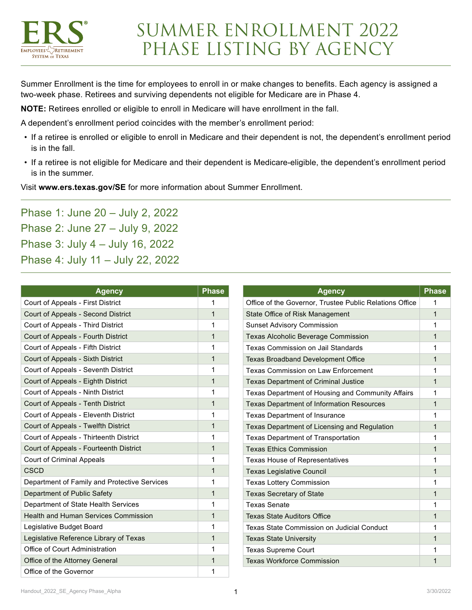

Summer Enrollment is the time for employees to enroll in or make changes to benefits. Each agency is assigned a two-week phase. Retirees and surviving dependents not eligible for Medicare are in Phase 4.

**NOTE:** Retirees enrolled or eligible to enroll in Medicare will have enrollment in the fall.

A dependent's enrollment period coincides with the member's enrollment period:

- If a retiree is enrolled or eligible to enroll in Medicare and their dependent is not, the dependent's enrollment period is in the fall.
- If a retiree is not eligible for Medicare and their dependent is Medicare-eligible, the dependent's enrollment period is in the summer.

Visit **[www.ers.texas.gov/SE](http://www.ers.texas.gov/SE)** for more information about Summer Enrollment.

Phase 1: June 20 – July 2, 2022 Phase 2: June 27 – July 9, 2022 Phase 3: July 4 – July 16, 2022 Phase 4: July 11 – July 22, 2022

| <b>Agency</b>                                | <b>Phase</b> | <b>Agency</b>                                           | <b>Phase</b> |
|----------------------------------------------|--------------|---------------------------------------------------------|--------------|
| Court of Appeals - First District            |              | Office of the Governor, Trustee Public Relations Office |              |
| Court of Appeals - Second District           | $\mathbf{1}$ | State Office of Risk Management                         | $\mathbf{1}$ |
| Court of Appeals - Third District            | 1            | <b>Sunset Advisory Commission</b>                       |              |
| Court of Appeals - Fourth District           | $\mathbf 1$  | <b>Texas Alcoholic Beverage Commission</b>              |              |
| Court of Appeals - Fifth District            | 1            | Texas Commission on Jail Standards                      |              |
| Court of Appeals - Sixth District            | $\mathbf{1}$ | <b>Texas Broadband Development Office</b>               |              |
| Court of Appeals - Seventh District          | 1            | Texas Commission on Law Enforcement                     |              |
| Court of Appeals - Eighth District           | $\mathbf{1}$ | <b>Texas Department of Criminal Justice</b>             |              |
| Court of Appeals - Ninth District            | 1            | Texas Department of Housing and Community Affairs       | 1            |
| Court of Appeals - Tenth District            | $\mathbf{1}$ | <b>Texas Department of Information Resources</b>        | $\mathbf 1$  |
| Court of Appeals - Eleventh District         | 1            | Texas Department of Insurance                           | 1            |
| Court of Appeals - Twelfth District          | $\mathbf{1}$ | Texas Department of Licensing and Regulation            | 1            |
| Court of Appeals - Thirteenth District       | 1            | <b>Texas Department of Transportation</b>               |              |
| Court of Appeals - Fourteenth District       | $\mathbf{1}$ | <b>Texas Ethics Commission</b>                          | 1            |
| <b>Court of Criminal Appeals</b>             | 1            | <b>Texas House of Representatives</b>                   |              |
| CSCD                                         | $\mathbf{1}$ | <b>Texas Legislative Council</b>                        | $\mathbf{1}$ |
| Department of Family and Protective Services | 1            | <b>Texas Lottery Commission</b>                         |              |
| Department of Public Safety                  | $\mathbf 1$  | <b>Texas Secretary of State</b>                         | 1            |
| Department of State Health Services          | 1            | <b>Texas Senate</b>                                     |              |
| <b>Health and Human Services Commission</b>  | $\mathbf 1$  | <b>Texas State Auditors Office</b>                      | 1            |
| Legislative Budget Board                     | 1            | Texas State Commission on Judicial Conduct              |              |
| Legislative Reference Library of Texas       | $\mathbf{1}$ | <b>Texas State University</b>                           |              |
| Office of Court Administration               | 1            | <b>Texas Supreme Court</b>                              |              |
| Office of the Attorney General               | $\mathbf{1}$ | <b>Texas Workforce Commission</b>                       |              |
| Office of the Governor                       | 1            |                                                         |              |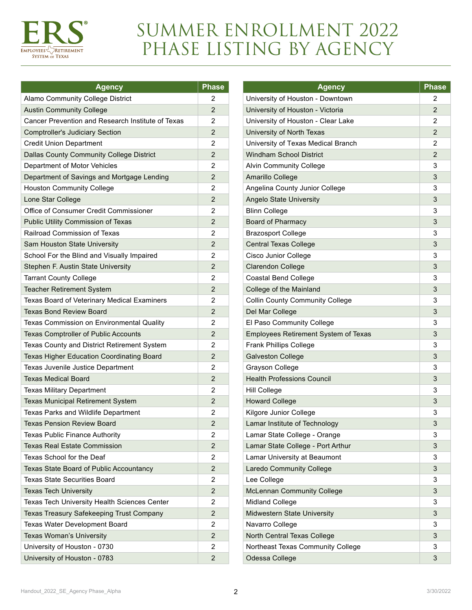

## SUMMER ENROLLMENT 2022 PHASE LISTING BY AGENCY

| Agency                                            | <b>Phase</b>   |
|---------------------------------------------------|----------------|
| Alamo Community College District                  | 2              |
| <b>Austin Community College</b>                   |                |
| Cancer Prevention and Research Institute of Texas |                |
| <b>Comptroller's Judiciary Section</b>            | $\overline{2}$ |
| <b>Credit Union Department</b>                    |                |
| <b>Dallas County Community College District</b>   |                |
| Department of Motor Vehicles                      | 2              |
| Department of Savings and Mortgage Lending        | $\overline{2}$ |
| <b>Houston Community College</b>                  |                |
| Lone Star College                                 |                |
| Office of Consumer Credit Commissioner            | 2              |
| Public Utility Commission of Texas                | $\overline{2}$ |
| Railroad Commission of Texas                      | 2              |
| Sam Houston State University                      | $\overline{2}$ |
| School For the Blind and Visually Impaired        | 2              |
| Stephen F. Austin State University                | $\overline{2}$ |
| <b>Tarrant County College</b>                     | 2              |
| <b>Teacher Retirement System</b>                  | $\overline{2}$ |
| Texas Board of Veterinary Medical Examiners       | 2              |
| <b>Texas Bond Review Board</b>                    | $\overline{2}$ |
| Texas Commission on Environmental Quality         | 2              |
| <b>Texas Comptroller of Public Accounts</b>       | $\overline{2}$ |
| Texas County and District Retirement System       | 2              |
| Texas Higher Education Coordinating Board         | 2              |
| Texas Juvenile Justice Department                 | 2              |
| <b>Texas Medical Board</b>                        | $\overline{2}$ |
| <b>Texas Military Department</b>                  | 2              |
| <b>Texas Municipal Retirement System</b>          | $\overline{2}$ |
| <b>Texas Parks and Wildlife Department</b>        | 2              |
| <b>Texas Pension Review Board</b>                 | $\overline{2}$ |
| <b>Texas Public Finance Authority</b>             | 2              |
| <b>Texas Real Estate Commission</b>               | 2              |
| Texas School for the Deaf                         | 2              |
| Texas State Board of Public Accountancy           | $\overline{2}$ |
| <b>Texas State Securities Board</b>               | 2              |
| <b>Texas Tech University</b>                      | $\overline{c}$ |
| Texas Tech University Health Sciences Center      | 2              |
| Texas Treasury Safekeeping Trust Company          | 2              |
| Texas Water Development Board                     | 2              |
| Texas Woman's University                          | 2              |
| University of Houston - 0730                      | 2              |
| University of Houston - 0783                      | $\overline{2}$ |

| <b>Agency</b>                          | <b>Phase</b>   |
|----------------------------------------|----------------|
| University of Houston - Downtown       | 2              |
| University of Houston - Victoria       | $\overline{2}$ |
| University of Houston - Clear Lake     | 2              |
| University of North Texas              | 2              |
| University of Texas Medical Branch     | 2              |
| <b>Windham School District</b>         | $\overline{2}$ |
| <b>Alvin Community College</b>         | 3              |
| Amarillo College                       | 3              |
| Angelina County Junior College         | 3              |
| <b>Angelo State University</b>         | 3              |
| <b>Blinn College</b>                   | 3              |
| <b>Board of Pharmacy</b>               | 3              |
| <b>Brazosport College</b>              | 3              |
| <b>Central Texas College</b>           | 3              |
| Cisco Junior College                   | 3              |
| <b>Clarendon College</b>               | 3              |
| <b>Coastal Bend College</b>            | 3              |
| College of the Mainland                | 3              |
| <b>Collin County Community College</b> | 3              |
| Del Mar College                        | 3              |
| El Paso Community College              | 3              |
| Employees Retirement System of Texas   | 3              |
| <b>Frank Phillips College</b>          | 3              |
| <b>Galveston College</b>               | 3              |
| Grayson College                        | 3              |
| <b>Health Professions Council</b>      | 3              |
| Hill College                           | 3              |
| <b>Howard College</b>                  | 3              |
| Kilgore Junior College                 | 3              |
| Lamar Institute of Technology          | 3              |
| Lamar State College - Orange           | 3              |
| Lamar State College - Port Arthur      | 3              |
| Lamar University at Beaumont           | 3              |
| Laredo Community College               | 3              |
| Lee College                            | 3              |
| <b>McLennan Community College</b>      | 3              |
| <b>Midland College</b>                 | 3              |
| Midwestern State University            | 3              |
| Navarro College                        | 3              |
| North Central Texas College            | 3              |
| Northeast Texas Community College      | 3              |
| Odessa College                         | 3              |